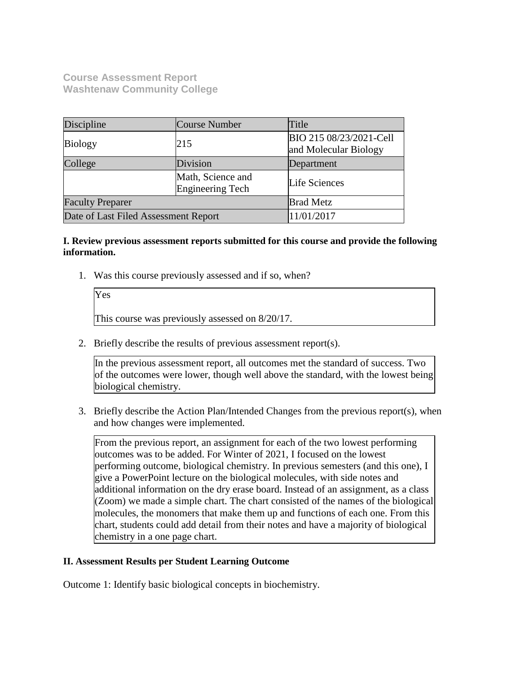**Course Assessment Report Washtenaw Community College**

Yes

| Discipline                           | Course Number                         | Title                                            |
|--------------------------------------|---------------------------------------|--------------------------------------------------|
| <b>Biology</b>                       | 215                                   | BIO 215 08/23/2021-Cell<br>and Molecular Biology |
| College                              | Division                              | Department                                       |
|                                      | Math, Science and<br>Engineering Tech | Life Sciences                                    |
| <b>Faculty Preparer</b>              |                                       | <b>Brad Metz</b>                                 |
| Date of Last Filed Assessment Report |                                       | 11/01/2017                                       |

## **I. Review previous assessment reports submitted for this course and provide the following information.**

1. Was this course previously assessed and if so, when?

This course was previously assessed on 8/20/17.

2. Briefly describe the results of previous assessment report(s).

In the previous assessment report, all outcomes met the standard of success. Two of the outcomes were lower, though well above the standard, with the lowest being biological chemistry.

3. Briefly describe the Action Plan/Intended Changes from the previous report(s), when and how changes were implemented.

From the previous report, an assignment for each of the two lowest performing outcomes was to be added. For Winter of 2021, I focused on the lowest performing outcome, biological chemistry. In previous semesters (and this one), I give a PowerPoint lecture on the biological molecules, with side notes and additional information on the dry erase board. Instead of an assignment, as a class  $\alpha$  (Zoom) we made a simple chart. The chart consisted of the names of the biological molecules, the monomers that make them up and functions of each one. From this chart, students could add detail from their notes and have a majority of biological chemistry in a one page chart.

## **II. Assessment Results per Student Learning Outcome**

Outcome 1: Identify basic biological concepts in biochemistry.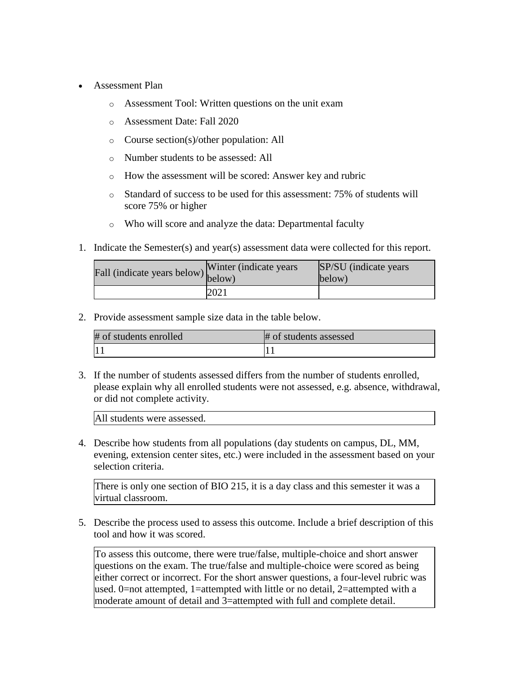- Assessment Plan
	- o Assessment Tool: Written questions on the unit exam
	- o Assessment Date: Fall 2020
	- o Course section(s)/other population: All
	- o Number students to be assessed: All
	- o How the assessment will be scored: Answer key and rubric
	- o Standard of success to be used for this assessment: 75% of students will score 75% or higher
	- o Who will score and analyze the data: Departmental faculty
- 1. Indicate the Semester(s) and year(s) assessment data were collected for this report.

| Fall (indicate years below) below) | Winter (indicate years) | SP/SU (indicate years)<br>below) |
|------------------------------------|-------------------------|----------------------------------|
|                                    | 2021                    |                                  |

| # of students enrolled | # of students assessed |
|------------------------|------------------------|
|                        |                        |

3. If the number of students assessed differs from the number of students enrolled, please explain why all enrolled students were not assessed, e.g. absence, withdrawal, or did not complete activity.

All students were assessed.

4. Describe how students from all populations (day students on campus, DL, MM, evening, extension center sites, etc.) were included in the assessment based on your selection criteria.

There is only one section of BIO 215, it is a day class and this semester it was a virtual classroom.

5. Describe the process used to assess this outcome. Include a brief description of this tool and how it was scored.

To assess this outcome, there were true/false, multiple-choice and short answer questions on the exam. The true/false and multiple-choice were scored as being either correct or incorrect. For the short answer questions, a four-level rubric was used. 0=not attempted, 1=attempted with little or no detail, 2=attempted with a moderate amount of detail and 3=attempted with full and complete detail.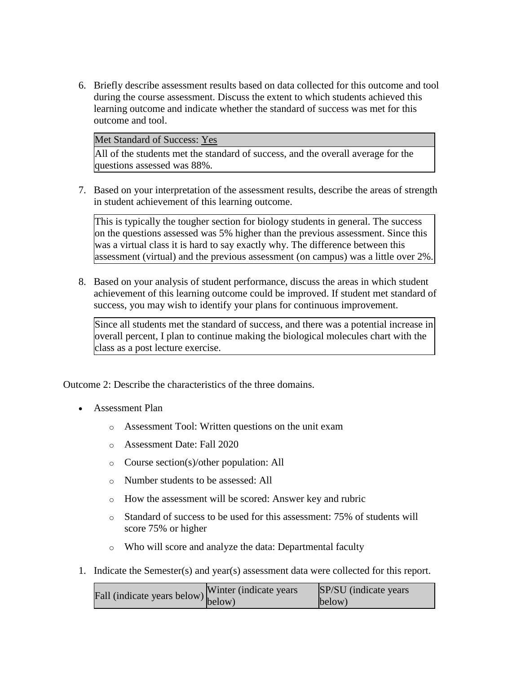6. Briefly describe assessment results based on data collected for this outcome and tool during the course assessment. Discuss the extent to which students achieved this learning outcome and indicate whether the standard of success was met for this outcome and tool.

Met Standard of Success: Yes

All of the students met the standard of success, and the overall average for the questions assessed was 88%.

7. Based on your interpretation of the assessment results, describe the areas of strength in student achievement of this learning outcome.

This is typically the tougher section for biology students in general. The success on the questions assessed was 5% higher than the previous assessment. Since this was a virtual class it is hard to say exactly why. The difference between this assessment (virtual) and the previous assessment (on campus) was a little over 2%.

8. Based on your analysis of student performance, discuss the areas in which student achievement of this learning outcome could be improved. If student met standard of success, you may wish to identify your plans for continuous improvement.

Since all students met the standard of success, and there was a potential increase in overall percent, I plan to continue making the biological molecules chart with the class as a post lecture exercise.

Outcome 2: Describe the characteristics of the three domains.

- Assessment Plan
	- o Assessment Tool: Written questions on the unit exam
	- o Assessment Date: Fall 2020
	- o Course section(s)/other population: All
	- o Number students to be assessed: All
	- o How the assessment will be scored: Answer key and rubric
	- o Standard of success to be used for this assessment: 75% of students will score 75% or higher
	- o Who will score and analyze the data: Departmental faculty
- 1. Indicate the Semester(s) and year(s) assessment data were collected for this report.

| $\text{unit}$ (indicate years below) Winter (indicate years | SP/SU (indicate years) |
|-------------------------------------------------------------|------------------------|
|                                                             | below)                 |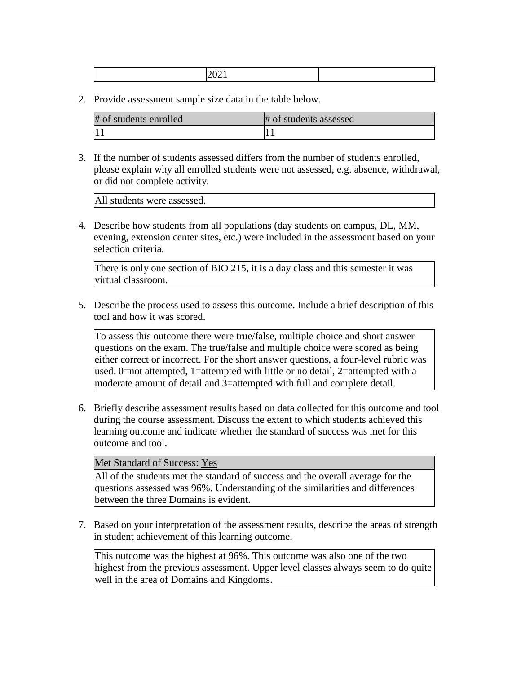|--|--|

| # of students enrolled | # of students assessed |
|------------------------|------------------------|
| 11                     |                        |

3. If the number of students assessed differs from the number of students enrolled, please explain why all enrolled students were not assessed, e.g. absence, withdrawal, or did not complete activity.

All students were assessed.

4. Describe how students from all populations (day students on campus, DL, MM, evening, extension center sites, etc.) were included in the assessment based on your selection criteria.

There is only one section of BIO 215, it is a day class and this semester it was virtual classroom.

5. Describe the process used to assess this outcome. Include a brief description of this tool and how it was scored.

To assess this outcome there were true/false, multiple choice and short answer questions on the exam. The true/false and multiple choice were scored as being either correct or incorrect. For the short answer questions, a four-level rubric was used. 0=not attempted, 1=attempted with little or no detail, 2=attempted with a moderate amount of detail and 3=attempted with full and complete detail.

6. Briefly describe assessment results based on data collected for this outcome and tool during the course assessment. Discuss the extent to which students achieved this learning outcome and indicate whether the standard of success was met for this outcome and tool.

#### Met Standard of Success: Yes

All of the students met the standard of success and the overall average for the questions assessed was 96%. Understanding of the similarities and differences between the three Domains is evident.

7. Based on your interpretation of the assessment results, describe the areas of strength in student achievement of this learning outcome.

This outcome was the highest at 96%. This outcome was also one of the two highest from the previous assessment. Upper level classes always seem to do quite well in the area of Domains and Kingdoms.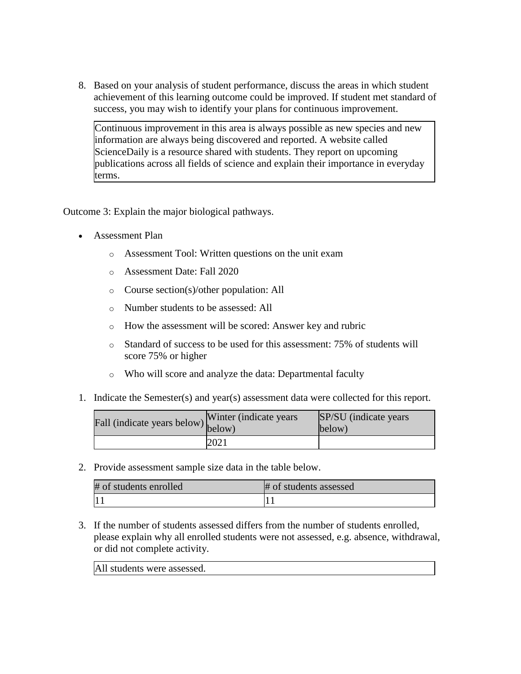8. Based on your analysis of student performance, discuss the areas in which student achievement of this learning outcome could be improved. If student met standard of success, you may wish to identify your plans for continuous improvement.

Continuous improvement in this area is always possible as new species and new information are always being discovered and reported. A website called ScienceDaily is a resource shared with students. They report on upcoming publications across all fields of science and explain their importance in everyday terms.

Outcome 3: Explain the major biological pathways.

- Assessment Plan
	- o Assessment Tool: Written questions on the unit exam
	- o Assessment Date: Fall 2020
	- o Course section(s)/other population: All
	- o Number students to be assessed: All
	- o How the assessment will be scored: Answer key and rubric
	- o Standard of success to be used for this assessment: 75% of students will score 75% or higher
	- o Who will score and analyze the data: Departmental faculty
- 1. Indicate the Semester(s) and year(s) assessment data were collected for this report.

| Fall (indicate years below) below) | Winter (indicate years) | SP/SU (indicate years)<br>below) |
|------------------------------------|-------------------------|----------------------------------|
|                                    | 2021                    |                                  |

2. Provide assessment sample size data in the table below.

| # of students enrolled | # of students assessed |
|------------------------|------------------------|
|                        |                        |

3. If the number of students assessed differs from the number of students enrolled, please explain why all enrolled students were not assessed, e.g. absence, withdrawal, or did not complete activity.

All students were assessed.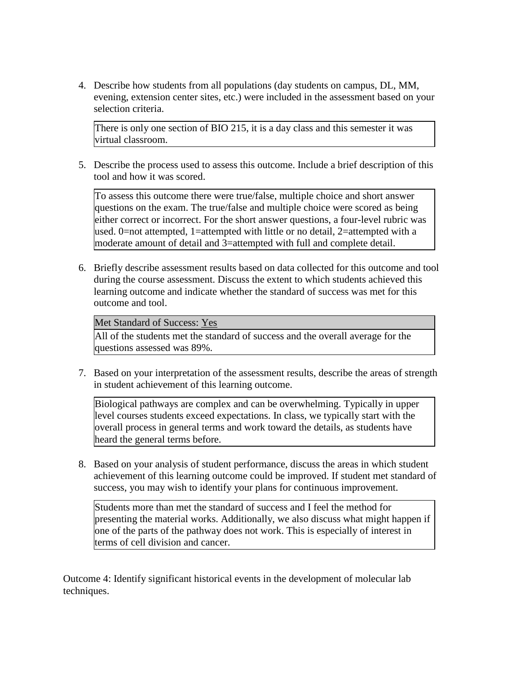4. Describe how students from all populations (day students on campus, DL, MM, evening, extension center sites, etc.) were included in the assessment based on your selection criteria.

There is only one section of BIO 215, it is a day class and this semester it was virtual classroom.

5. Describe the process used to assess this outcome. Include a brief description of this tool and how it was scored.

To assess this outcome there were true/false, multiple choice and short answer questions on the exam. The true/false and multiple choice were scored as being either correct or incorrect. For the short answer questions, a four-level rubric was used. 0=not attempted, 1=attempted with little or no detail, 2=attempted with a moderate amount of detail and 3=attempted with full and complete detail.

6. Briefly describe assessment results based on data collected for this outcome and tool during the course assessment. Discuss the extent to which students achieved this learning outcome and indicate whether the standard of success was met for this outcome and tool.

#### Met Standard of Success: Yes

All of the students met the standard of success and the overall average for the questions assessed was 89%.

7. Based on your interpretation of the assessment results, describe the areas of strength in student achievement of this learning outcome.

Biological pathways are complex and can be overwhelming. Typically in upper level courses students exceed expectations. In class, we typically start with the overall process in general terms and work toward the details, as students have heard the general terms before.

8. Based on your analysis of student performance, discuss the areas in which student achievement of this learning outcome could be improved. If student met standard of success, you may wish to identify your plans for continuous improvement.

Students more than met the standard of success and I feel the method for presenting the material works. Additionally, we also discuss what might happen if one of the parts of the pathway does not work. This is especially of interest in terms of cell division and cancer.

Outcome 4: Identify significant historical events in the development of molecular lab techniques.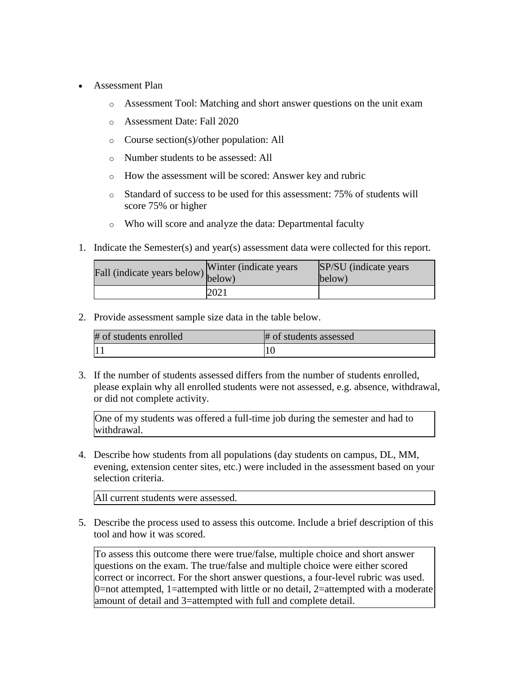- Assessment Plan
	- o Assessment Tool: Matching and short answer questions on the unit exam
	- o Assessment Date: Fall 2020
	- o Course section(s)/other population: All
	- o Number students to be assessed: All
	- o How the assessment will be scored: Answer key and rubric
	- o Standard of success to be used for this assessment: 75% of students will score 75% or higher
	- o Who will score and analyze the data: Departmental faculty
- 1. Indicate the Semester(s) and year(s) assessment data were collected for this report.

| Fall (indicate years below) below) | Winter (indicate years) | SP/SU (indicate years)<br>below) |
|------------------------------------|-------------------------|----------------------------------|
|                                    | 2021                    |                                  |

| # of students enrolled | # of students assessed |
|------------------------|------------------------|
| $\vert$ 1              |                        |

3. If the number of students assessed differs from the number of students enrolled, please explain why all enrolled students were not assessed, e.g. absence, withdrawal, or did not complete activity.

One of my students was offered a full-time job during the semester and had to withdrawal.

4. Describe how students from all populations (day students on campus, DL, MM, evening, extension center sites, etc.) were included in the assessment based on your selection criteria.

All current students were assessed.

5. Describe the process used to assess this outcome. Include a brief description of this tool and how it was scored.

To assess this outcome there were true/false, multiple choice and short answer questions on the exam. The true/false and multiple choice were either scored correct or incorrect. For the short answer questions, a four-level rubric was used. 0=not attempted, 1=attempted with little or no detail, 2=attempted with a moderate amount of detail and 3=attempted with full and complete detail.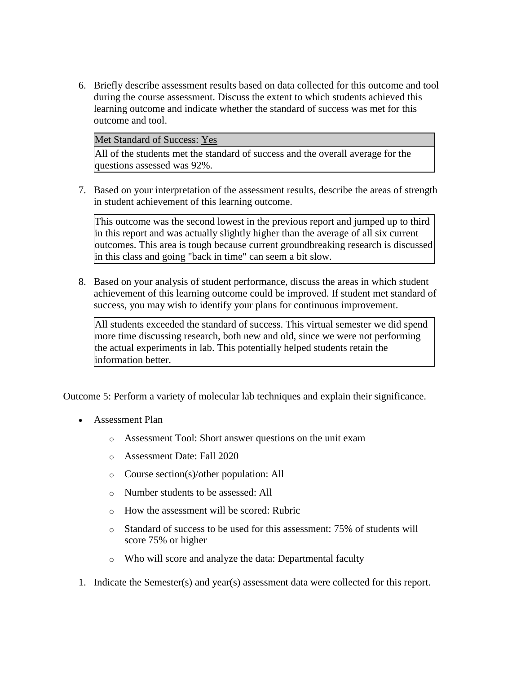6. Briefly describe assessment results based on data collected for this outcome and tool during the course assessment. Discuss the extent to which students achieved this learning outcome and indicate whether the standard of success was met for this outcome and tool.

Met Standard of Success: Yes

All of the students met the standard of success and the overall average for the questions assessed was 92%.

7. Based on your interpretation of the assessment results, describe the areas of strength in student achievement of this learning outcome.

This outcome was the second lowest in the previous report and jumped up to third in this report and was actually slightly higher than the average of all six current outcomes. This area is tough because current groundbreaking research is discussed in this class and going "back in time" can seem a bit slow.

8. Based on your analysis of student performance, discuss the areas in which student achievement of this learning outcome could be improved. If student met standard of success, you may wish to identify your plans for continuous improvement.

All students exceeded the standard of success. This virtual semester we did spend more time discussing research, both new and old, since we were not performing the actual experiments in lab. This potentially helped students retain the information better.

Outcome 5: Perform a variety of molecular lab techniques and explain their significance.

- Assessment Plan
	- o Assessment Tool: Short answer questions on the unit exam
	- o Assessment Date: Fall 2020
	- o Course section(s)/other population: All
	- o Number students to be assessed: All
	- o How the assessment will be scored: Rubric
	- o Standard of success to be used for this assessment: 75% of students will score 75% or higher
	- o Who will score and analyze the data: Departmental faculty
- 1. Indicate the Semester(s) and year(s) assessment data were collected for this report.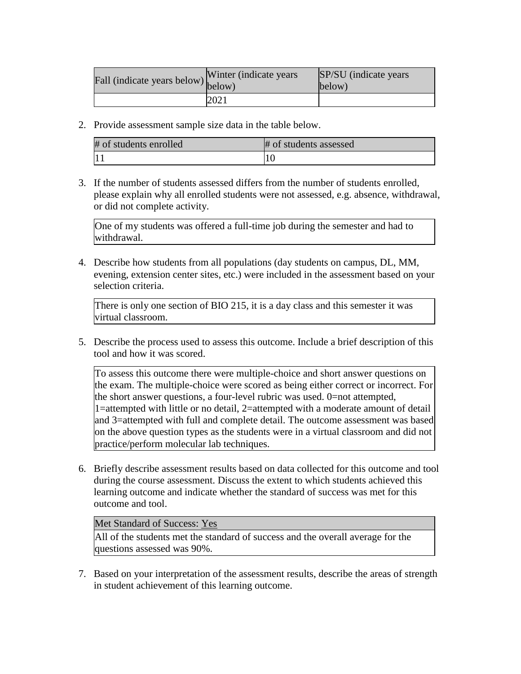| Fall (indicate years below) below) | Winter (indicate years) | SP/SU (indicate years)<br>below) |
|------------------------------------|-------------------------|----------------------------------|
|                                    | 2021                    |                                  |

| # of students enrolled | # of students assessed |
|------------------------|------------------------|
|                        |                        |

3. If the number of students assessed differs from the number of students enrolled, please explain why all enrolled students were not assessed, e.g. absence, withdrawal, or did not complete activity.

One of my students was offered a full-time job during the semester and had to withdrawal.

4. Describe how students from all populations (day students on campus, DL, MM, evening, extension center sites, etc.) were included in the assessment based on your selection criteria.

There is only one section of BIO 215, it is a day class and this semester it was virtual classroom.

5. Describe the process used to assess this outcome. Include a brief description of this tool and how it was scored.

To assess this outcome there were multiple-choice and short answer questions on the exam. The multiple-choice were scored as being either correct or incorrect. For the short answer questions, a four-level rubric was used. 0=not attempted, 1=attempted with little or no detail, 2=attempted with a moderate amount of detail and 3=attempted with full and complete detail. The outcome assessment was based on the above question types as the students were in a virtual classroom and did not practice/perform molecular lab techniques.

6. Briefly describe assessment results based on data collected for this outcome and tool during the course assessment. Discuss the extent to which students achieved this learning outcome and indicate whether the standard of success was met for this outcome and tool.

## Met Standard of Success: Yes

All of the students met the standard of success and the overall average for the questions assessed was 90%.

7. Based on your interpretation of the assessment results, describe the areas of strength in student achievement of this learning outcome.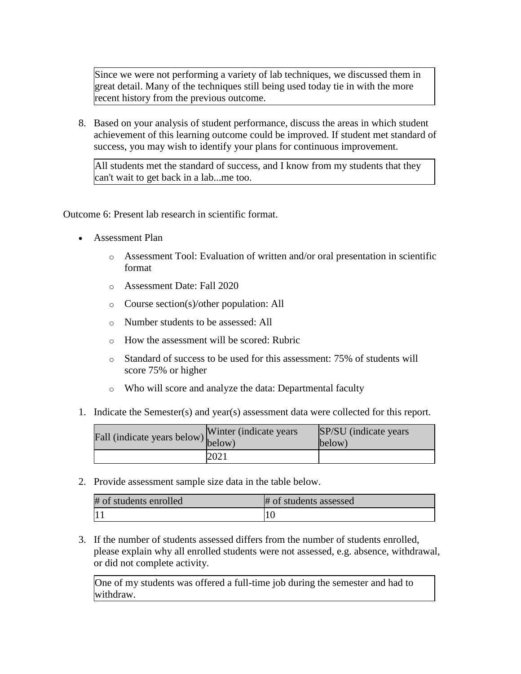Since we were not performing a variety of lab techniques, we discussed them in great detail. Many of the techniques still being used today tie in with the more recent history from the previous outcome.

8. Based on your analysis of student performance, discuss the areas in which student achievement of this learning outcome could be improved. If student met standard of success, you may wish to identify your plans for continuous improvement.

All students met the standard of success, and I know from my students that they can't wait to get back in a lab...me too.

Outcome 6: Present lab research in scientific format.

- Assessment Plan
	- $\circ$  Assessment Tool: Evaluation of written and/or oral presentation in scientific format
	- o Assessment Date: Fall 2020
	- o Course section(s)/other population: All
	- o Number students to be assessed: All
	- o How the assessment will be scored: Rubric
	- o Standard of success to be used for this assessment: 75% of students will score 75% or higher
	- o Who will score and analyze the data: Departmental faculty
- 1. Indicate the Semester(s) and year(s) assessment data were collected for this report.

| Fall (indicate years below) below) | Winter (indicate years) | SP/SU (indicate years)<br>below) |
|------------------------------------|-------------------------|----------------------------------|
|                                    | 2021                    |                                  |

2. Provide assessment sample size data in the table below.

| # of students enrolled | # of students assessed |
|------------------------|------------------------|
|                        |                        |

3. If the number of students assessed differs from the number of students enrolled, please explain why all enrolled students were not assessed, e.g. absence, withdrawal, or did not complete activity.

One of my students was offered a full-time job during the semester and had to withdraw.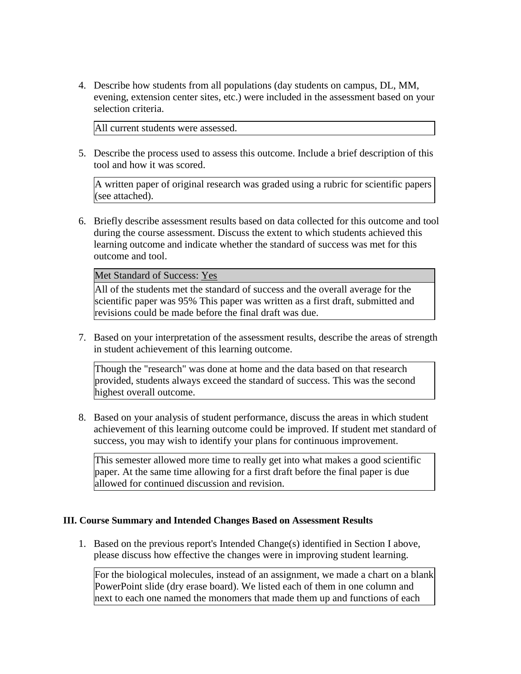4. Describe how students from all populations (day students on campus, DL, MM, evening, extension center sites, etc.) were included in the assessment based on your selection criteria.

All current students were assessed.

5. Describe the process used to assess this outcome. Include a brief description of this tool and how it was scored.

A written paper of original research was graded using a rubric for scientific papers (see attached).

6. Briefly describe assessment results based on data collected for this outcome and tool during the course assessment. Discuss the extent to which students achieved this learning outcome and indicate whether the standard of success was met for this outcome and tool.

Met Standard of Success: Yes

All of the students met the standard of success and the overall average for the scientific paper was 95% This paper was written as a first draft, submitted and revisions could be made before the final draft was due.

7. Based on your interpretation of the assessment results, describe the areas of strength in student achievement of this learning outcome.

Though the "research" was done at home and the data based on that research provided, students always exceed the standard of success. This was the second highest overall outcome.

8. Based on your analysis of student performance, discuss the areas in which student achievement of this learning outcome could be improved. If student met standard of success, you may wish to identify your plans for continuous improvement.

This semester allowed more time to really get into what makes a good scientific paper. At the same time allowing for a first draft before the final paper is due allowed for continued discussion and revision.

## **III. Course Summary and Intended Changes Based on Assessment Results**

1. Based on the previous report's Intended Change(s) identified in Section I above, please discuss how effective the changes were in improving student learning.

For the biological molecules, instead of an assignment, we made a chart on a blank PowerPoint slide (dry erase board). We listed each of them in one column and next to each one named the monomers that made them up and functions of each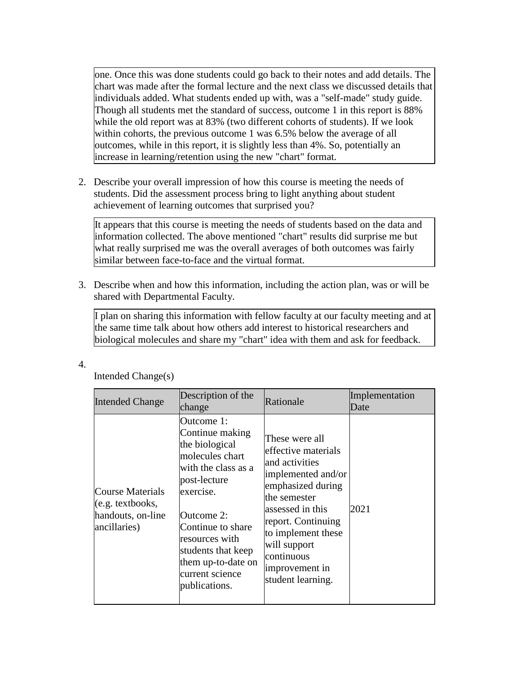one. Once this was done students could go back to their notes and add details. The chart was made after the formal lecture and the next class we discussed details that individuals added. What students ended up with, was a "self-made" study guide. Though all students met the standard of success, outcome 1 in this report is 88% while the old report was at 83% (two different cohorts of students). If we look within cohorts, the previous outcome 1 was 6.5% below the average of all outcomes, while in this report, it is slightly less than 4%. So, potentially an increase in learning/retention using the new "chart" format.

2. Describe your overall impression of how this course is meeting the needs of students. Did the assessment process bring to light anything about student achievement of learning outcomes that surprised you?

It appears that this course is meeting the needs of students based on the data and information collected. The above mentioned "chart" results did surprise me but what really surprised me was the overall averages of both outcomes was fairly similar between face-to-face and the virtual format.

3. Describe when and how this information, including the action plan, was or will be shared with Departmental Faculty.

I plan on sharing this information with fellow faculty at our faculty meeting and at the same time talk about how others add interest to historical researchers and biological molecules and share my "chart" idea with them and ask for feedback.

4.

| <b>Intended Change</b>                                                           | Description of the<br>change                                                                                                                                                                                                                                | Rationale                                                                                                                                                                                                                                               | Implementation<br>Date |
|----------------------------------------------------------------------------------|-------------------------------------------------------------------------------------------------------------------------------------------------------------------------------------------------------------------------------------------------------------|---------------------------------------------------------------------------------------------------------------------------------------------------------------------------------------------------------------------------------------------------------|------------------------|
| <b>Course Materials</b><br>(e.g. textbooks,<br>handouts, on-line<br>ancillaries) | Outcome 1:<br>Continue making<br>the biological<br>molecules chart<br>with the class as a<br>post-lecture<br>exercise.<br>Outcome 2:<br>Continue to share<br>resources with<br>students that keep<br>them up-to-date on<br>current science<br>publications. | These were all<br>effective materials<br>and activities<br>implemented and/or<br>emphasized during<br>the semester<br>assessed in this<br>report. Continuing<br>to implement these<br>will support<br>continuous<br>improvement in<br>student learning. | 2021                   |

Intended Change(s)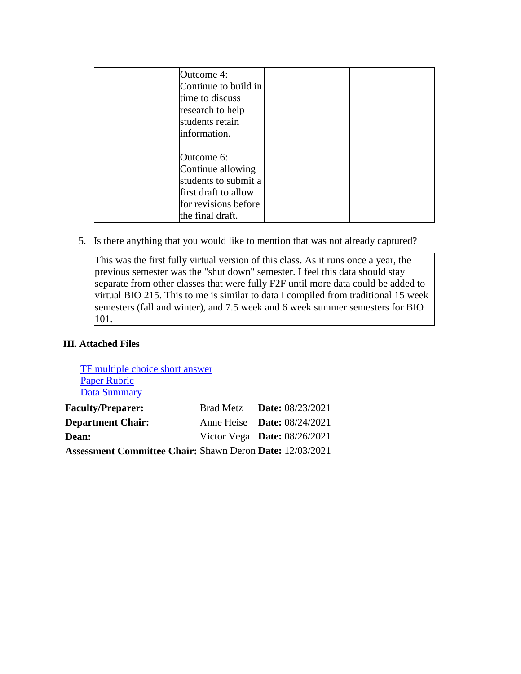| Outcome 4:<br>time to discuss<br>research to help<br>students retain<br>information. | Continue to build in                                                                      |  |
|--------------------------------------------------------------------------------------|-------------------------------------------------------------------------------------------|--|
| Outcome 6:<br>the final draft.                                                       | Continue allowing<br>students to submit a<br>first draft to allow<br>for revisions before |  |

5. Is there anything that you would like to mention that was not already captured?

This was the first fully virtual version of this class. As it runs once a year, the previous semester was the "shut down" semester. I feel this data should stay separate from other classes that were fully F2F until more data could be added to virtual BIO 215. This to me is similar to data I compiled from traditional 15 week semesters (fall and winter), and 7.5 week and 6 week summer semesters for BIO 101.

## **III. Attached Files**

[TF multiple choice short answer](documents/TF%20multiple%20choice%20and%20short%20answer..docx) [Paper Rubric](documents/Rubric%20scientific%20paper.docx) [Data Summary](documents/Data%20Summary.xlsx) **Faculty/Preparer:** Brad Metz **Date:** 08/23/2021

| r acuny/r reparci.                                              | $P_1$ au Ivicia — Daic, 00/23/2021 |
|-----------------------------------------------------------------|------------------------------------|
| <b>Department Chair:</b>                                        | Anne Heise <b>Date:</b> 08/24/2021 |
| <b>Dean:</b>                                                    | Victor Vega Date: $08/26/2021$     |
| <b>Assessment Committee Chair: Shawn Deron Date: 12/03/2021</b> |                                    |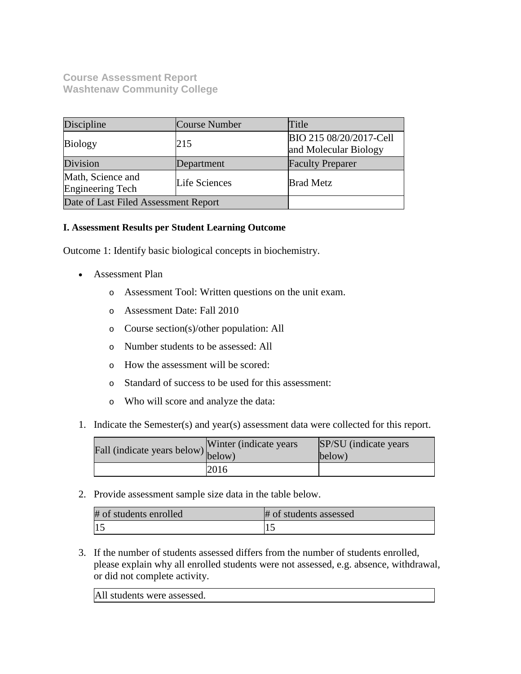**Course Assessment Report Washtenaw Community College**

| Discipline                                   | Course Number | Title                                            |
|----------------------------------------------|---------------|--------------------------------------------------|
| <b>Biology</b>                               | 215           | BIO 215 08/20/2017-Cell<br>and Molecular Biology |
| Division                                     | Department    | <b>Faculty Preparer</b>                          |
| Math, Science and<br><b>Engineering Tech</b> | Life Sciences | <b>Brad Metz</b>                                 |
| Date of Last Filed Assessment Report         |               |                                                  |

## **I. Assessment Results per Student Learning Outcome**

Outcome 1: Identify basic biological concepts in biochemistry.

- Assessment Plan
	- o Assessment Tool: Written questions on the unit exam.
	- o Assessment Date: Fall 2010
	- o Course section(s)/other population: All
	- o Number students to be assessed: All
	- o How the assessment will be scored:
	- o Standard of success to be used for this assessment:
	- o Who will score and analyze the data:
- 1. Indicate the Semester(s) and year(s) assessment data were collected for this report.

| Fall (indicate years below) below) | Winter (indicate years) | SP/SU (indicate years)<br>below) |
|------------------------------------|-------------------------|----------------------------------|
|                                    | 2016                    |                                  |

2. Provide assessment sample size data in the table below.

| # of students enrolled | # of students assessed |
|------------------------|------------------------|
|                        |                        |

3. If the number of students assessed differs from the number of students enrolled, please explain why all enrolled students were not assessed, e.g. absence, withdrawal, or did not complete activity.

All students were assessed.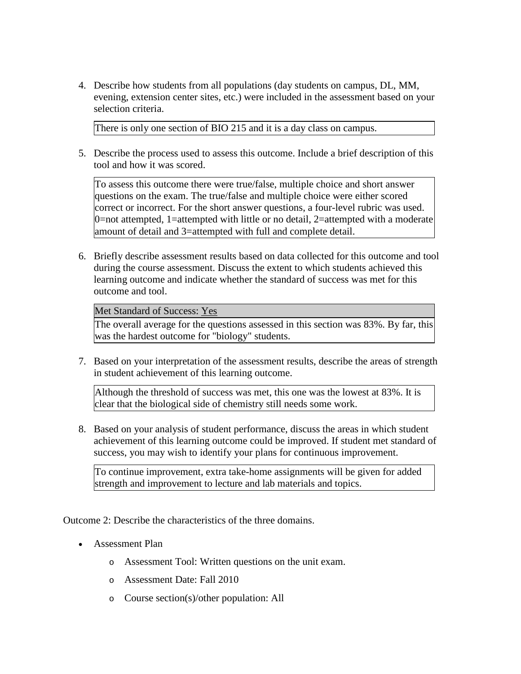4. Describe how students from all populations (day students on campus, DL, MM, evening, extension center sites, etc.) were included in the assessment based on your selection criteria.

There is only one section of BIO 215 and it is a day class on campus.

5. Describe the process used to assess this outcome. Include a brief description of this tool and how it was scored.

To assess this outcome there were true/false, multiple choice and short answer questions on the exam. The true/false and multiple choice were either scored correct or incorrect. For the short answer questions, a four-level rubric was used. 0=not attempted, 1=attempted with little or no detail, 2=attempted with a moderate amount of detail and 3=attempted with full and complete detail.

6. Briefly describe assessment results based on data collected for this outcome and tool during the course assessment. Discuss the extent to which students achieved this learning outcome and indicate whether the standard of success was met for this outcome and tool.

Met Standard of Success: Yes

The overall average for the questions assessed in this section was 83%. By far, this was the hardest outcome for "biology" students.

7. Based on your interpretation of the assessment results, describe the areas of strength in student achievement of this learning outcome.

Although the threshold of success was met, this one was the lowest at 83%. It is clear that the biological side of chemistry still needs some work.

8. Based on your analysis of student performance, discuss the areas in which student achievement of this learning outcome could be improved. If student met standard of success, you may wish to identify your plans for continuous improvement.

To continue improvement, extra take-home assignments will be given for added strength and improvement to lecture and lab materials and topics.

Outcome 2: Describe the characteristics of the three domains.

- Assessment Plan
	- o Assessment Tool: Written questions on the unit exam.
	- o Assessment Date: Fall 2010
	- o Course section(s)/other population: All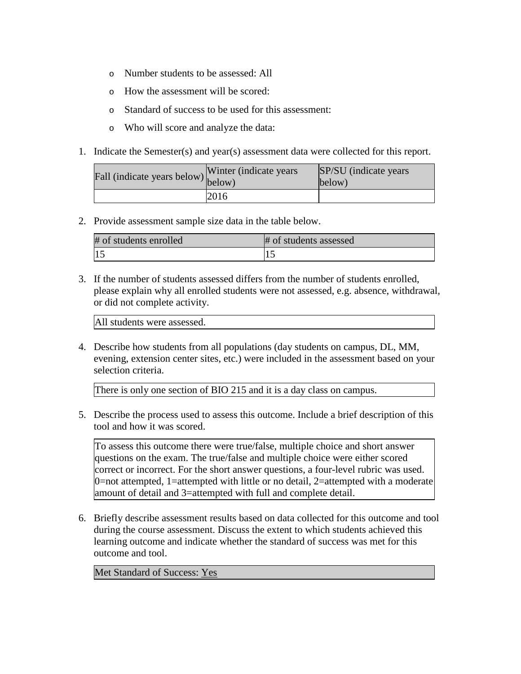- o Number students to be assessed: All
- o How the assessment will be scored:
- o Standard of success to be used for this assessment:
- o Who will score and analyze the data:
- 1. Indicate the Semester(s) and year(s) assessment data were collected for this report.

| Fall (indicate years below) below) | Winter (indicate years) | SP/SU (indicate years)<br>below) |
|------------------------------------|-------------------------|----------------------------------|
|                                    | 2016                    |                                  |

| # of students enrolled | # of students assessed |
|------------------------|------------------------|
|                        |                        |

3. If the number of students assessed differs from the number of students enrolled, please explain why all enrolled students were not assessed, e.g. absence, withdrawal, or did not complete activity.

All students were assessed.

4. Describe how students from all populations (day students on campus, DL, MM, evening, extension center sites, etc.) were included in the assessment based on your selection criteria.

There is only one section of BIO 215 and it is a day class on campus.

5. Describe the process used to assess this outcome. Include a brief description of this tool and how it was scored.

To assess this outcome there were true/false, multiple choice and short answer questions on the exam. The true/false and multiple choice were either scored correct or incorrect. For the short answer questions, a four-level rubric was used. 0=not attempted, 1=attempted with little or no detail, 2=attempted with a moderate amount of detail and 3=attempted with full and complete detail.

6. Briefly describe assessment results based on data collected for this outcome and tool during the course assessment. Discuss the extent to which students achieved this learning outcome and indicate whether the standard of success was met for this outcome and tool.

Met Standard of Success: Yes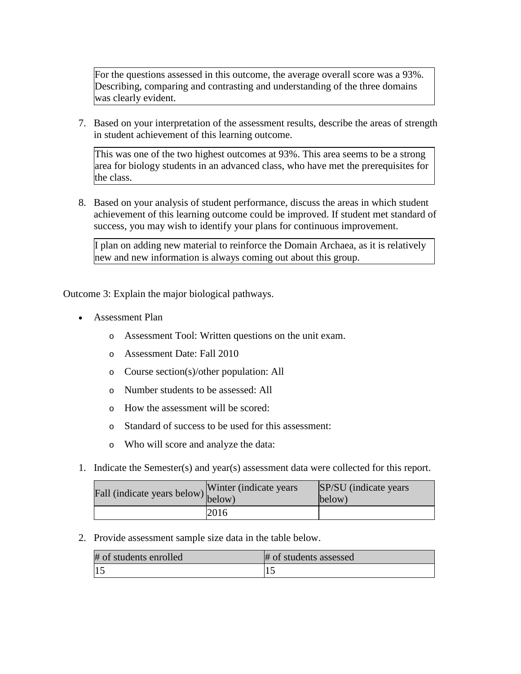For the questions assessed in this outcome, the average overall score was a 93%. Describing, comparing and contrasting and understanding of the three domains was clearly evident.

7. Based on your interpretation of the assessment results, describe the areas of strength in student achievement of this learning outcome.

This was one of the two highest outcomes at 93%. This area seems to be a strong area for biology students in an advanced class, who have met the prerequisites for the class.

8. Based on your analysis of student performance, discuss the areas in which student achievement of this learning outcome could be improved. If student met standard of success, you may wish to identify your plans for continuous improvement.

I plan on adding new material to reinforce the Domain Archaea, as it is relatively new and new information is always coming out about this group.

Outcome 3: Explain the major biological pathways.

- Assessment Plan
	- o Assessment Tool: Written questions on the unit exam.
	- o Assessment Date: Fall 2010
	- o Course section(s)/other population: All
	- o Number students to be assessed: All
	- o How the assessment will be scored:
	- o Standard of success to be used for this assessment:
	- o Who will score and analyze the data:
- 1. Indicate the Semester(s) and year(s) assessment data were collected for this report.

| r'all (indicate years below) below) | Winter (indicate years) | SP/SU (indicate years)<br>below) |
|-------------------------------------|-------------------------|----------------------------------|
|                                     | 2016                    |                                  |

2. Provide assessment sample size data in the table below.

| # of students enrolled | # of students assessed |
|------------------------|------------------------|
|                        |                        |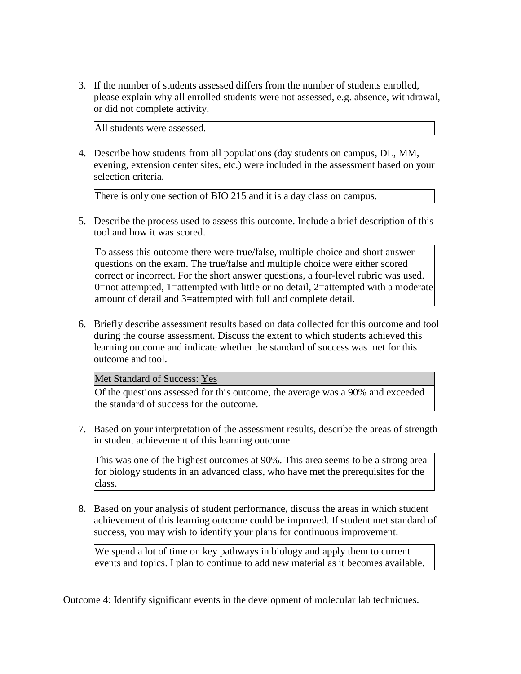3. If the number of students assessed differs from the number of students enrolled, please explain why all enrolled students were not assessed, e.g. absence, withdrawal, or did not complete activity.

All students were assessed.

4. Describe how students from all populations (day students on campus, DL, MM, evening, extension center sites, etc.) were included in the assessment based on your selection criteria.

There is only one section of BIO 215 and it is a day class on campus.

5. Describe the process used to assess this outcome. Include a brief description of this tool and how it was scored.

To assess this outcome there were true/false, multiple choice and short answer questions on the exam. The true/false and multiple choice were either scored correct or incorrect. For the short answer questions, a four-level rubric was used.  $0$ =not attempted, 1=attempted with little or no detail, 2=attempted with a moderate amount of detail and 3=attempted with full and complete detail.

6. Briefly describe assessment results based on data collected for this outcome and tool during the course assessment. Discuss the extent to which students achieved this learning outcome and indicate whether the standard of success was met for this outcome and tool.

Met Standard of Success: Yes

Of the questions assessed for this outcome, the average was a 90% and exceeded the standard of success for the outcome.

7. Based on your interpretation of the assessment results, describe the areas of strength in student achievement of this learning outcome.

This was one of the highest outcomes at 90%. This area seems to be a strong area for biology students in an advanced class, who have met the prerequisites for the class.

8. Based on your analysis of student performance, discuss the areas in which student achievement of this learning outcome could be improved. If student met standard of success, you may wish to identify your plans for continuous improvement.

We spend a lot of time on key pathways in biology and apply them to current events and topics. I plan to continue to add new material as it becomes available.

Outcome 4: Identify significant events in the development of molecular lab techniques.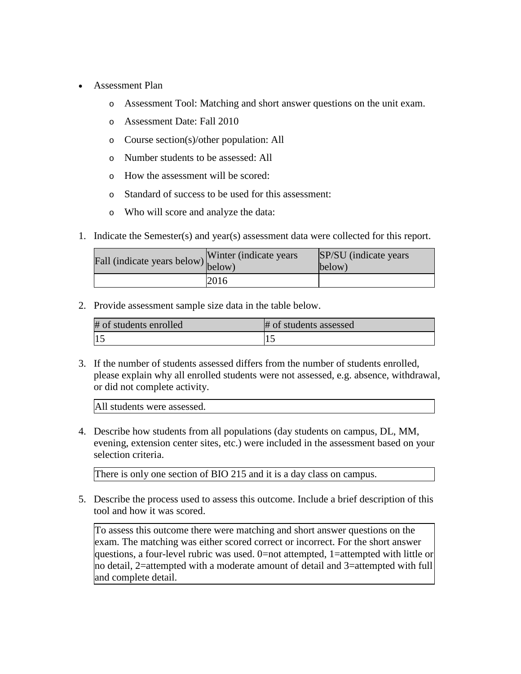- Assessment Plan
	- o Assessment Tool: Matching and short answer questions on the unit exam.
	- o Assessment Date: Fall 2010
	- o Course section(s)/other population: All
	- o Number students to be assessed: All
	- o How the assessment will be scored:
	- o Standard of success to be used for this assessment:
	- o Who will score and analyze the data:
- 1. Indicate the Semester(s) and year(s) assessment data were collected for this report.

| Fall (indicate years below) below) | Winter (indicate years) | SP/SU (indicate years)<br>below) |
|------------------------------------|-------------------------|----------------------------------|
|                                    | 2016                    |                                  |

| # of students enrolled | # of students assessed |
|------------------------|------------------------|
|                        |                        |

3. If the number of students assessed differs from the number of students enrolled, please explain why all enrolled students were not assessed, e.g. absence, withdrawal, or did not complete activity.

All students were assessed.

4. Describe how students from all populations (day students on campus, DL, MM, evening, extension center sites, etc.) were included in the assessment based on your selection criteria.

There is only one section of BIO 215 and it is a day class on campus.

5. Describe the process used to assess this outcome. Include a brief description of this tool and how it was scored.

To assess this outcome there were matching and short answer questions on the exam. The matching was either scored correct or incorrect. For the short answer questions, a four-level rubric was used. 0=not attempted, 1=attempted with little or no detail, 2=attempted with a moderate amount of detail and 3=attempted with full and complete detail.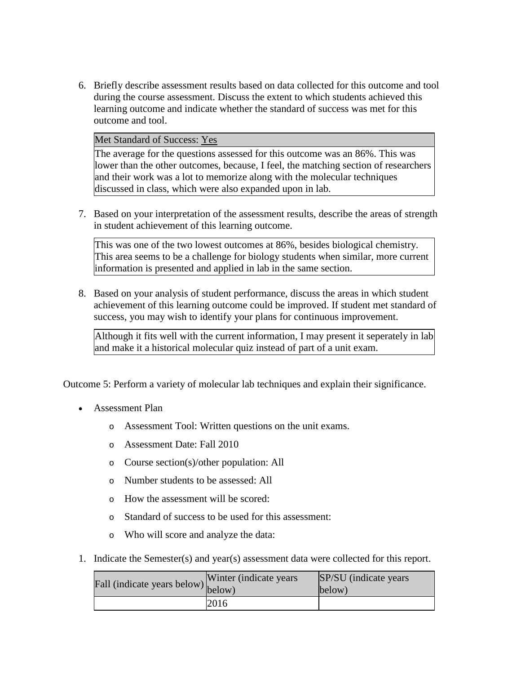6. Briefly describe assessment results based on data collected for this outcome and tool during the course assessment. Discuss the extent to which students achieved this learning outcome and indicate whether the standard of success was met for this outcome and tool.

Met Standard of Success: Yes

The average for the questions assessed for this outcome was an 86%. This was lower than the other outcomes, because, I feel, the matching section of researchers and their work was a lot to memorize along with the molecular techniques discussed in class, which were also expanded upon in lab.

7. Based on your interpretation of the assessment results, describe the areas of strength in student achievement of this learning outcome.

This was one of the two lowest outcomes at 86%, besides biological chemistry. This area seems to be a challenge for biology students when similar, more current information is presented and applied in lab in the same section.

8. Based on your analysis of student performance, discuss the areas in which student achievement of this learning outcome could be improved. If student met standard of success, you may wish to identify your plans for continuous improvement.

Although it fits well with the current information, I may present it seperately in lab and make it a historical molecular quiz instead of part of a unit exam.

Outcome 5: Perform a variety of molecular lab techniques and explain their significance.

- Assessment Plan
	- o Assessment Tool: Written questions on the unit exams.
	- o Assessment Date: Fall 2010
	- o Course section(s)/other population: All
	- o Number students to be assessed: All
	- o How the assessment will be scored:
	- o Standard of success to be used for this assessment:
	- o Who will score and analyze the data:
- 1. Indicate the Semester(s) and year(s) assessment data were collected for this report.

| Fall (indicate years below) below) | Winter (indicate years) | SP/SU (indicate years)<br>below) |
|------------------------------------|-------------------------|----------------------------------|
|                                    | 2016                    |                                  |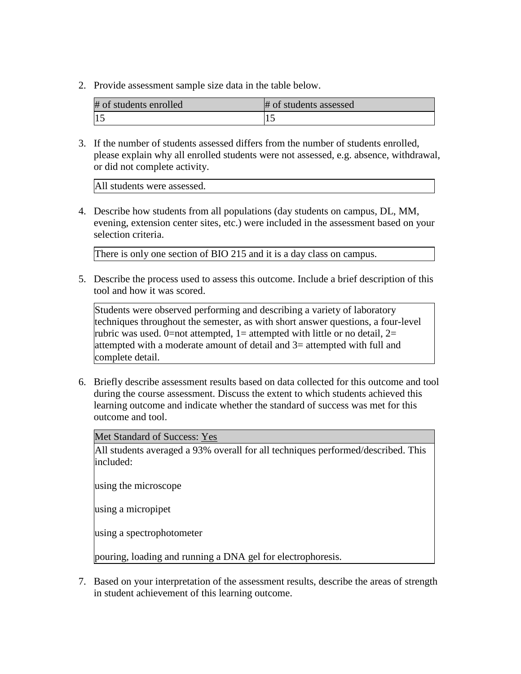| # of students enrolled | # of students assessed |
|------------------------|------------------------|
|                        |                        |

3. If the number of students assessed differs from the number of students enrolled, please explain why all enrolled students were not assessed, e.g. absence, withdrawal, or did not complete activity.

All students were assessed.

4. Describe how students from all populations (day students on campus, DL, MM, evening, extension center sites, etc.) were included in the assessment based on your selection criteria.

There is only one section of BIO 215 and it is a day class on campus.

5. Describe the process used to assess this outcome. Include a brief description of this tool and how it was scored.

Students were observed performing and describing a variety of laboratory techniques throughout the semester, as with short answer questions, a four-level rubric was used. 0=not attempted, 1= attempted with little or no detail, 2= attempted with a moderate amount of detail and 3= attempted with full and complete detail.

6. Briefly describe assessment results based on data collected for this outcome and tool during the course assessment. Discuss the extent to which students achieved this learning outcome and indicate whether the standard of success was met for this outcome and tool.

Met Standard of Success: Yes

All students averaged a 93% overall for all techniques performed/described. This included:

using the microscope

using a micropipet

using a spectrophotometer

pouring, loading and running a DNA gel for electrophoresis.

7. Based on your interpretation of the assessment results, describe the areas of strength in student achievement of this learning outcome.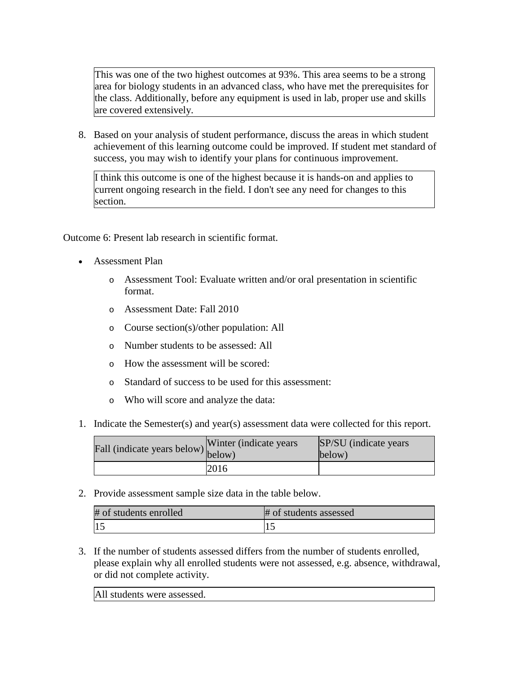This was one of the two highest outcomes at 93%. This area seems to be a strong area for biology students in an advanced class, who have met the prerequisites for the class. Additionally, before any equipment is used in lab, proper use and skills are covered extensively.

8. Based on your analysis of student performance, discuss the areas in which student achievement of this learning outcome could be improved. If student met standard of success, you may wish to identify your plans for continuous improvement.

I think this outcome is one of the highest because it is hands-on and applies to current ongoing research in the field. I don't see any need for changes to this section.

Outcome 6: Present lab research in scientific format.

- Assessment Plan
	- o Assessment Tool: Evaluate written and/or oral presentation in scientific format.
	- o Assessment Date: Fall 2010
	- o Course section(s)/other population: All
	- o Number students to be assessed: All
	- o How the assessment will be scored:
	- o Standard of success to be used for this assessment:
	- o Who will score and analyze the data:
- 1. Indicate the Semester(s) and year(s) assessment data were collected for this report.

| Fall (indicate years below) $\begin{bmatrix} w \text{ inter} \\ below \end{bmatrix}$ | Winter (indicate years) | SP/SU (indicate years)<br>below) |
|--------------------------------------------------------------------------------------|-------------------------|----------------------------------|
|                                                                                      | 2016                    |                                  |

2. Provide assessment sample size data in the table below.

| # of students enrolled | # of students assessed |
|------------------------|------------------------|
| 1.                     |                        |

3. If the number of students assessed differs from the number of students enrolled, please explain why all enrolled students were not assessed, e.g. absence, withdrawal, or did not complete activity.

All students were assessed.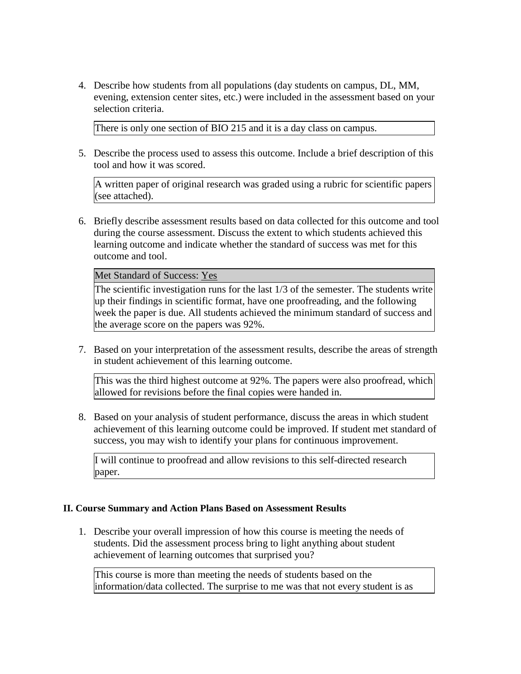4. Describe how students from all populations (day students on campus, DL, MM, evening, extension center sites, etc.) were included in the assessment based on your selection criteria.

There is only one section of BIO 215 and it is a day class on campus.

5. Describe the process used to assess this outcome. Include a brief description of this tool and how it was scored.

A written paper of original research was graded using a rubric for scientific papers (see attached).

6. Briefly describe assessment results based on data collected for this outcome and tool during the course assessment. Discuss the extent to which students achieved this learning outcome and indicate whether the standard of success was met for this outcome and tool.

Met Standard of Success: Yes

The scientific investigation runs for the last 1/3 of the semester. The students write up their findings in scientific format, have one proofreading, and the following week the paper is due. All students achieved the minimum standard of success and the average score on the papers was 92%.

7. Based on your interpretation of the assessment results, describe the areas of strength in student achievement of this learning outcome.

This was the third highest outcome at 92%. The papers were also proofread, which allowed for revisions before the final copies were handed in.

8. Based on your analysis of student performance, discuss the areas in which student achievement of this learning outcome could be improved. If student met standard of success, you may wish to identify your plans for continuous improvement.

I will continue to proofread and allow revisions to this self-directed research paper.

#### **II. Course Summary and Action Plans Based on Assessment Results**

1. Describe your overall impression of how this course is meeting the needs of students. Did the assessment process bring to light anything about student achievement of learning outcomes that surprised you?

This course is more than meeting the needs of students based on the information/data collected. The surprise to me was that not every student is as